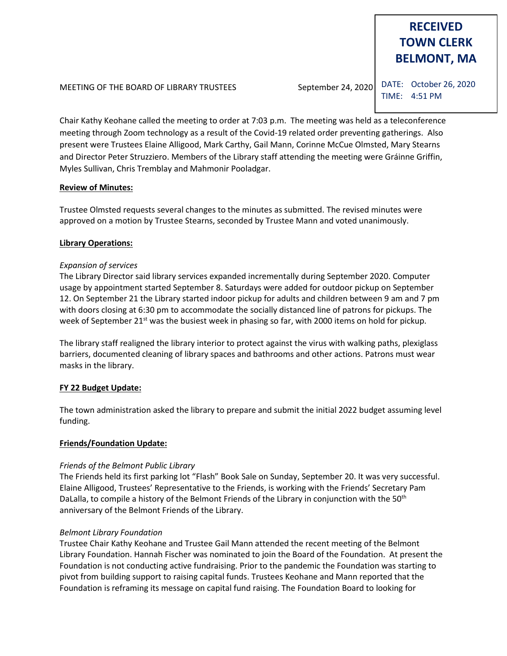# **RECEIVED TOWN CLERK BELMONT, MA**

MEETING OF THE BOARD OF LIBRARY TRUSTEES September 24, 2020

DATE: October 26, 2020 TIME: 4:51 PM

Chair Kathy Keohane called the meeting to order at 7:03 p.m. The meeting was held as a teleconference meeting through Zoom technology as a result of the Covid-19 related order preventing gatherings. Also present were Trustees Elaine Alligood, Mark Carthy, Gail Mann, Corinne McCue Olmsted, Mary Stearns and Director Peter Struzziero. Members of the Library staff attending the meeting were Gráinne Griffin, Myles Sullivan, Chris Tremblay and Mahmonir Pooladgar.

# **Review of Minutes:**

Trustee Olmsted requests several changes to the minutes as submitted. The revised minutes were approved on a motion by Trustee Stearns, seconded by Trustee Mann and voted unanimously.

# **Library Operations:**

# *Expansion of services*

The Library Director said library services expanded incrementally during September 2020. Computer usage by appointment started September 8. Saturdays were added for outdoor pickup on September 12. On September 21 the Library started indoor pickup for adults and children between 9 am and 7 pm with doors closing at 6:30 pm to accommodate the socially distanced line of patrons for pickups. The week of September 21<sup>st</sup> was the busiest week in phasing so far, with 2000 items on hold for pickup.

The library staff realigned the library interior to protect against the virus with walking paths, plexiglass barriers, documented cleaning of library spaces and bathrooms and other actions. Patrons must wear masks in the library.

# **FY 22 Budget Update:**

The town administration asked the library to prepare and submit the initial 2022 budget assuming level funding.

# **Friends/Foundation Update:**

# *Friends of the Belmont Public Library*

The Friends held its first parking lot "Flash" Book Sale on Sunday, September 20. It was very successful. Elaine Alligood, Trustees' Representative to the Friends, is working with the Friends' Secretary Pam DaLalla, to compile a history of the Belmont Friends of the Library in conjunction with the 50<sup>th</sup> anniversary of the Belmont Friends of the Library.

# *Belmont Library Foundation*

Trustee Chair Kathy Keohane and Trustee Gail Mann attended the recent meeting of the Belmont Library Foundation. Hannah Fischer was nominated to join the Board of the Foundation. At present the Foundation is not conducting active fundraising. Prior to the pandemic the Foundation was starting to pivot from building support to raising capital funds. Trustees Keohane and Mann reported that the Foundation is reframing its message on capital fund raising. The Foundation Board to looking for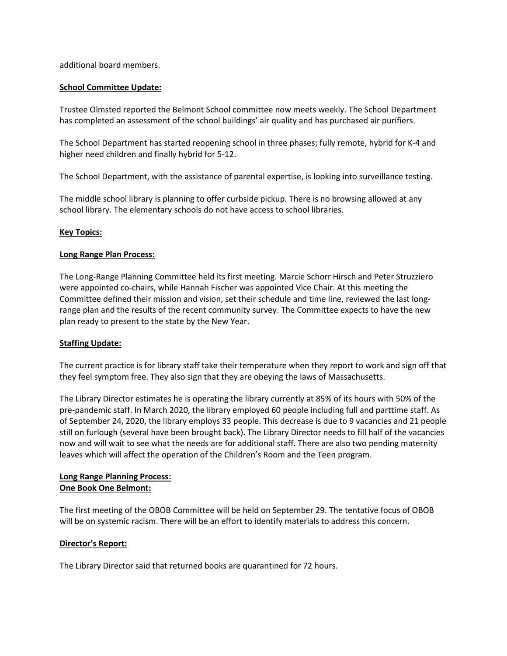additional board members.

### **School Committee Update:**

Trustee Olmsted reported the Belmont School committee now meets weekly. The School Department has completed an assessment of the school buildings' air quality and has purchased air purifiers.

The School Department has started reopening school in three phases; fully remote, hybrid for K-4 and higher need children and finally hybrid for 5-12.

The School Department, with the assistance of parental expertise, is looking into surveillance testing.

The middle school library is planning to offer curbside pickup. There is no browsing allowed at any school library. The elementary schools do not have access to school libraries.

#### **Key Topics:**

#### **Long Range Plan Process:**

The Long-Range Planning Committee held its first meeting. Marcie Schorr Hirsch and Peter Struzziero were appointed co-chairs, while Hannah Fischer was appointed Vice Chair. At this meeting the Committee defined their mission and vision, set their schedule and time line, reviewed the last longrange plan and the results of the recent community survey. The Committee expects to have the new plan ready to present to the state by the New Year.

#### **Staffing Update:**

The current practice is for library staff take their temperature when they report to work and sign off that they feel symptom free. They also sign that they are obeying the laws of Massachusetts.

The Library Director estimates he is operating the library currently at 85% of its hours with 50% of the pre-pandemic staff. In March 2020, the library employed 60 people including full and parttime staff. As of September 24, 2020, the library employs 33 people. This decrease is due to 9 vacancies and 21 people still on furlough (several have been brought back). The Library Director needs to fill half of the vacancies now and will wait to see what the needs are for additional staff. There are also two pending maternity leaves which will affect the operation of the Children's Room and the Teen program.

#### **Long Range Planning Process: One Book One Belmont:**

The first meeting of the OBOB Committee will be held on September 29. The tentative focus of OBOB will be on systemic racism. There will be an effort to identify materials to address this concern.

# **Director's Report:**

The Library Director said that returned books are quarantined for 72 hours.